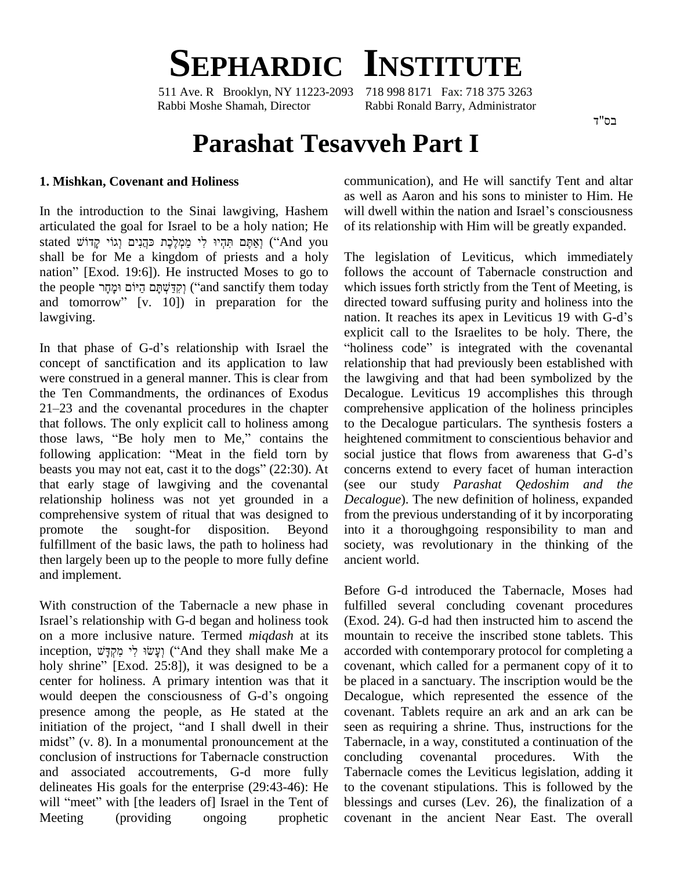

511 Ave. R Brooklyn, NY 11223-2093 718 998 8171 Fax: 718 375 3263 Rabbi Moshe Shamah, Director Rabbi Ronald Barry, Administrator

בס"ד

# **Parashat Tesavveh Part I**

#### **1. Mishkan, Covenant and Holiness**

In the introduction to the Sinai lawgiving, Hashem will dwell within the nation and Israel's consciousness articulated the goal for Israel to be a holy nation; He stated מֹאֶתֶּם תְּהָיוּ לִי מַמְלֵכֶת כּהֲנִים וְגוֹי קַדוֹשׁ stated shall be for Me a kingdom of priests and a holy nation" [Exod. 19:6]). He instructed Moses to go to shall be for Me a kingdom of priests and a holy The Ination" [Exod. 19:6]). He instructed Moses to go to follow<br>the people יְקִדְּשָׁתָּם הַיּוֹם וּמָחָר ('and sanctify them today which nation" [Exod. 19:6]). He instructed Moses to go to<br>the people וְקִדְּשֶׁתָּם הַיּוֹם וּמָחָד ("and sanctify them today whicl<br>and tomorrow" [v. 10]) in preparation for the direc lawgiving.

In that phase of G-d's relationship with Israel the concept of sanctification and its application to law were construed in a general manner. This is clear from<br>the Ten Commandments, the ordinances of Exodus Decalogue.<br>21–23 and the covenantal procedures in the chapter comprehen the Ten Commandments, the ordinances of Exodus that follows. The only explicit call to holiness among 21–23 and the covenantal procedures in the chapter computation follows. The only explicit call to holiness among to the those laws, "Be holy men to Me," contains the height that follows. The only explicit call to holiness among to the those laws, "Be holy men to Me," contains the height following application: "Meat in the field torn by social those laws, "Be holy men to Me," contains the heightened commitment to conscientious behavior and following application: "Meat in the field torn by social justice that flows from awareness that G-d's beasts you may not eat that early stage of lawgiving and the covenantal relationship holiness was not yet grounded in a comprehensive system of ritual that was designed to promote the sought-for disposition. Beyond fulfillment of the basic laws, the path to holiness had then largely been up to the people to more fully define and implement.

With construction of the Tabernacle a new phase in Israel's relationship with G-d began and holiness took on a more inclusive nature. Termed *miqdash* at its Israel's relationship with G-d began and holiness took (Exoon a more inclusive nature. Termed *miqdash* at its mour inception, וְעָשׂוּ לִי מִקְדָּשׁ ("And they shall make Me a accor on a more inclusive nature. Termed *miqdash* at its mour<br>inception, וְעָשׂוּ לִי מִקְדָּשׁ ("And they shall make Me a accor<br>holy shrine" [Exod. 25:8]), it was designed to be a cover center for holiness. A primary intention was that it holy shrine" [Exod. 25:8]), it was designed to be a center for holiness. A primary intention was that it would deepen the consciousness of G-d's ongoing presence among the people, as He stated at the would deepen the consciousness of G-d's ongoing Deepresence among the people, as He stated at the covinitiation of the project, "and I shall dwell in their see presence among the people, as He stated at the cover<br>initiation of the project, "and I shall dwell in their seen<br>midst" (v. 8). In a monumental pronouncement at the Tabe conclusion of instructions for Tabernacle construction and associated accoutrements, G-d more fully delineates His goals for the enterprise (29:43-46): He and associated accoutrements, G-d more fully Tatelineates His goals for the enterprise (29:43-46): He to will "meet" with [the leaders of] Israel in the Tent of ble Meeting (providing ongoing prophetic

communication), and He will sanctify Tent and altar will dwell within the nation and Israelí<sup>s</sup> consciousness as well as Aaron and his sons to minister to Him. He of its relationship with Him will be greatly expanded.

The legislation of Leviticus, which immediately follows the account of Tabernacle construction and which issues forth strictly from the Tent of Meeting, is directed toward suffusing purity and holiness into the which issues forth strictly from the Tent of Meeting, is<br>directed toward suffusing purity and holiness into the<br>nation. It reaches its apex in Leviticus 19 with G-d's explicit call to the Israelites to be holy. There, the nation. It reaches its apex in Leviticus 19 with G-d's "holiness code" is integrated with the covenantal relationship that had previously been established with the lawgiving and that had been symbolized by the Decalogue. Leviticus 19 accomplishes this through comprehensive application of the holiness principles to the Decalogue particulars. The synthesis fosters a social justice that flows from awareness that G-dí<sup>s</sup> heightened commitment to conscientious behavior and concerns extend to every facet of human interaction (see our study *Parashat Qedoshim and the Decalogue*). The new definition of holiness, expanded from the previous understanding of it by incorporating into it a thoroughgoing responsibility to man and society, was revolutionary in the thinking of the ancient world.

Before G-d introduced the Tabernacle, Moses had fulfilled several concluding covenant procedures (Exod. 24). G-d had then instructed him to ascend the mountain to receive the inscribed stone tablets. This accorded with contemporary protocol for completing a covenant, which called for a permanent copy of it to be placed in a sanctuary. The inscription would be the Decalogue, which represented the essence of the covenant. Tablets require an ark and an ark can be seen as requiring a shrine. Thus, instructions for the Tabernacle, in a way, constituted a continuation of the covenantal procedures. With the Tabernacle comes the Leviticus legislation, adding it to the covenant stipulations. This is followed by the blessings and curses (Lev. 26), the finalization of a covenant in the ancient Near East. The overall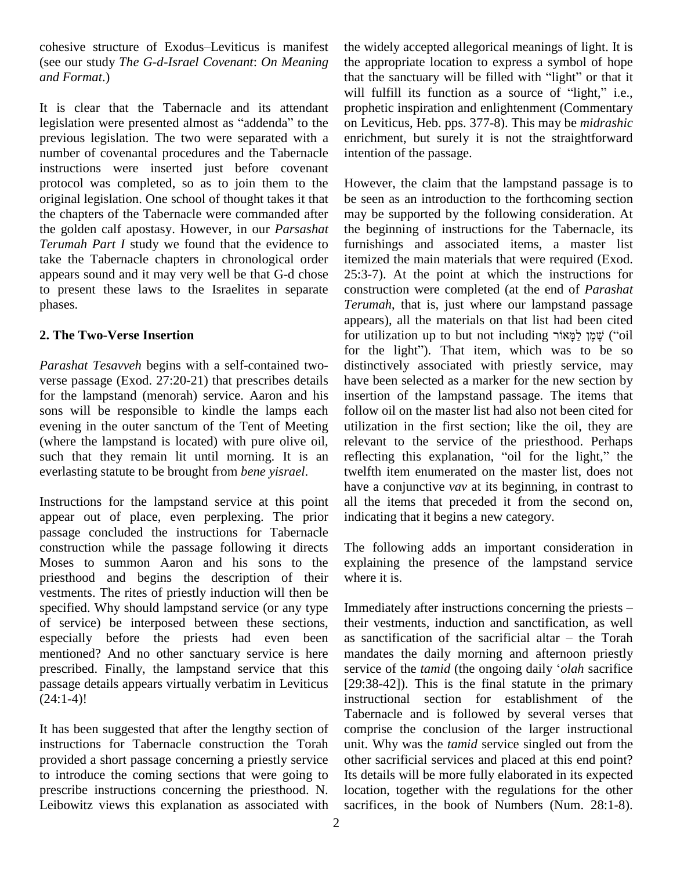cohesive structure of Exodus–Leviticus is manifest (see our study *The G-d-Israel Covenant*: *On Meaning and Format*.)

It is clear that the Tabernacle and its attendant legislation were presented almost as "addenda" to the previous legislation. The two were separated with a number of covenantal procedures and the Tabernacle instructions were inserted just before covenant protocol was completed, so as to join them to the original legislation. One school of thought takes it that the chapters of the Tabernacle were commanded after the golden calf apostasy. However, in our *Parsashat Terumah Part I* study we found that the evidence to take the Tabernacle chapters in chronological order appears sound and it may very well be that G-d chose to present these laws to the Israelites in separate phases.

## **2. The Two-Verse Insertion**

*Parashat Tesavveh* begins with a self-contained two verse passage (Exod. 27:20-21) that prescribes details for the lampstand (menorah) service. Aaron and his sons will be responsible to kindle the lamps each evening in the outer sanctum of the Tent of Meeting (where the lampstand is located) with pure olive oil, such that they remain lit until morning. It is an reflecting this explanation, "oil for the light," the everlasting statute to be brought from *bene yisrael*.

Instructions for the lampstand service at this point appear out of place, even perplexing. The prior passage concluded the instructions for Tabernacle construction while the passage following it directs Moses to summon Aaron and his sons to the priesthood and begins the description of their vestments. The rites of priestly induction will then be specified. Why should lampstand service (or any type of service) be interposed between these sections, especially before the priests had even been mentioned? And no other sanctuary service is here prescribed. Finally, the lampstand service that this service of the *tamid* (the ongoing daily '*olah* sacrifice passage details appears virtually verbatim in Leviticus  $(24:1-4)!$ 

It has been suggested that after the lengthy section of instructions for Tabernacle construction the Torah provided a short passage concerning a priestly service to introduce the coming sections that were going to prescribe instructions concerning the priesthood. N. Leibowitz views this explanation as associated with the widely accepted allegorical meanings of light. It is the appropriate location to express a symbol of hope that the sanctuary will be filled with "light" or that it will fulfill its function as a source of "light," i.e., prophetic inspiration and enlightenment (Commentary on Leviticus, Heb. pps. 377-8). This may be *midrashic* enrichment, but surely it is not the straightforward intention of the passage.

However, the claim that the lampstand passage is to be seen as an introduction to the forthcoming section may be supported by the following consideration. At the beginning of instructions for the Tabernacle, its furnishings and associated items, a master list itemized the main materials that were required (Exod. 25:3-7). At the point at which the instructions for construction were completed (at the end of*Parashat Terumah*, that is, just where our lampstand passage appears), all the materials on that list had been cited for utilization up to but not including לֵאֲקָי ("oil appears), all the materials on that list had been cited for utilization up to but not including שָׁמָן לַמְאוֹר ("oil for the light"). That item, which was to be so distinctively associated with priestly service, may have been selected as a marker for the new section by insertion of the lampstand passage. The items that follow oil on the master list had also not been cited for utilization in the first section; like the oil, they are<br>relevant to the service of the priesthood. Perhaps<br>reflecting this explanation, "oil for the light," the relevant to the service of the priesthood. Perhaps twelfth item enumerated on the master list, does not have a conjunctive *vav* at its beginning, in contrast to all the items that preceded it from the second on, indicating that it begins a new category.

The following adds an important consideration in explaining the presence of the lampstand service where it is.

Immediately after instructions concerning the priests  $-\frac{1}{2}$ their vestments, induction and sanctification, as well Immediately after instructions concerning the priests –<br>their vestments, induction and sanctification, as well<br>as sanctification of the sacrificial altar – the Torah mandates the daily morning and afternoon priestly as sanctification of the sacrificial altar – the Torah<br>mandates the daily morning and afternoon priestly<br>service of the *tamid* (the ongoing daily *'olah* sacrifice [29:38-42]). This is the final statute in the primary instructional section for establishment of the Tabernacle and is followed by several verses that comprise the conclusion of the larger instructional unit. Why was the *tamid* service singled out from the other sacrificial services and placed at this end point? Its details will be more fully elaborated in its expected location, together with the regulations for the other sacrifices, in the book of Numbers (Num. 28:1-8).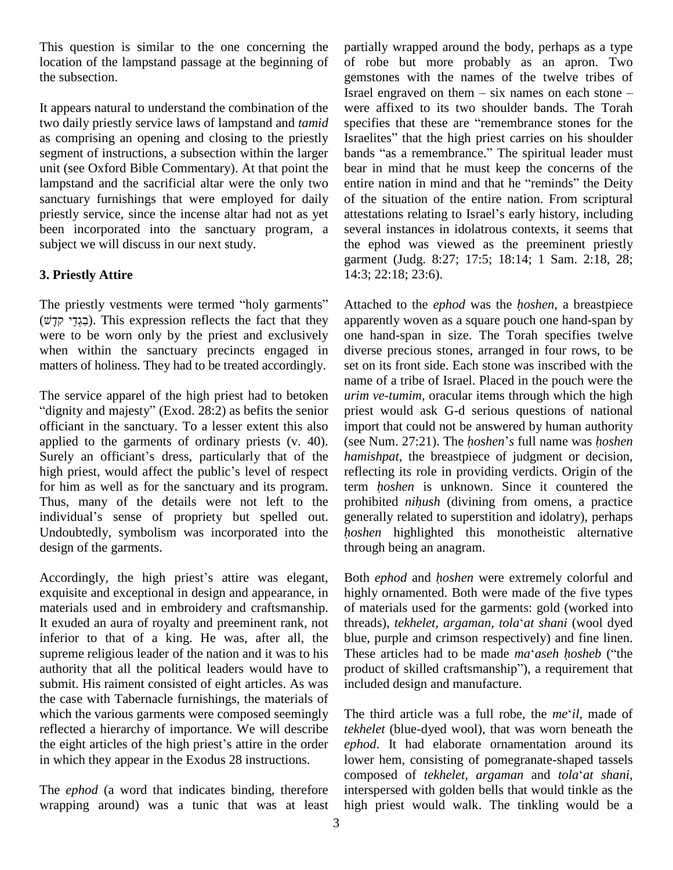This question is similar to the one concerning the location of the lampstand passage at the beginning of the subsection.

It appears natural to understand the combination of the two daily priestly service laws of lampstand and *tamid* as comprising an opening and closing to the priestly Israelites" that the high priest carries on his shoulder segment of instructions, a subsection within the larger unit (see Oxford Bible Commentary). At that point the lampstand and the sacrificial altar were the only two sanctuary furnishings that were employed for daily priestly service, since the incense altar had not as yet attestations relating to Israel's early history, including been incorporated into the sanctuary program, a subject we will discuss in our next study.

# **3. Priestly Attire**

The priestly vestments were termed "holy garments" (ˇʣʓʷ ʩʣʒʍʢʡʑ). This expression reflects the fact that they were to be worn only by the priest and exclusively when within the sanctuary precincts engaged in matters of holiness. They had to be treated accordingly.

The service apparel of the high priest had to betoken "dignity and majesty" (Exod.  $28:2$ ) as befits the senior officiant in the sanctuary. To a lesser extent this also impor<br>applied to the garments of ordinary priests (v. 40). (see N<br>Surely an officiant's dress, particularly that of the *hamis*. applied to the garments of ordinary priests  $(v. 40)$ . (see Num. 27:21). The *hoshen's* full name was *hoshen* Surely an officiant's dress, particularly that of the high priest, would affect the public's level of respect for him as well as for the sanctuary and its program. term *hoshen* is unknown. Since it countered the Thus, many of the details were not left to the prohi for him as well as for the sanctuary and its program.<br>Thus, many of the details were not left to the prindividual's sense of propriety but spelled out. Undoubtedly, symbolism was incorporated into the *hoshen* highlighted this monotheistic alternative design of the garments.

Accordingly, the high priest's attire was elegant, exquisite and exceptional in design and appearance, in materials used and in embroidery and craftsmanship. It exuded an aura of royalty and preeminent rank, not inferior to that of a king. He was, after all, the supreme religious leader of the nation and it was to his These articles had to be made *ma'aseh hosheb* ("the authority that all the political leaders would have to submit. His raiment consisted of eight articles. As was the case with Tabernacle furnishings, the materials of which the various garments were composed seemingly The the reflected a hierarchy of importance. We will describe *tekheli*<br>the eight articles of the high priest's attire in the order *ephod* reflected a hierarchy of importance. We will describe in which they appear in the Exodus 28 instructions.

The *ephod* (a word that indicates binding, therefore wrapping around) was a tunic that was at least partially wrapped around the body, perhaps as a type of robe but more probably as an apron. Two gemstones with the names of the twelve tribes of Israel engraved on them  $-$  six names on each stone  $$ were affixed to its two shoulder bands. The Torah Israel engraved on them – six names on each stone –<br>were affixed to its two shoulder bands. The Torah<br>specifies that these are "remembrance stones for the were affixed to its two shoulder bands. The Torah<br>specifies that these are "remembrance stones for the<br>Israelites" that the high priest carries on his shoulder specifies that these are "remembrance stones for the Israelites" that the high priest carries on his shoulder bands "as a remembrance." The spiritual leader must bear in mind that he must keep the concerns of the bands "as a remembrance." The spiritual leader must of the situation of the entire nation. From scriptural entire nation in mind and that he "reminds" the Deity several instances in idolatrous contexts, it seems that the ephod was viewed as the preeminent priestly garment (Judg. 8:27; 17:5; 18:14; 1 Sam. 2:18, 28; 14:3; 22:18; 23:6).

Attached to the *ephod* was the *<sup>h</sup>oshen*, <sup>a</sup> breastpiece apparently woven as a square pouch one hand-span by one hand-span in size. The Torah specifies twelve diverse precious stones, arranged in four rows, to be set on its front side. Each stone was inscribed with the name of a tribe of Israel. Placed in the pouch were the *urim ve-tumim*, oracular items through which the high priest would ask G-d serious questions of national import that could not be answered by human authority (see Num. 27:21). The *hoshen*<sup>*'s*</sup> full name was *hoshen* import that could not be answered by human authority *hamishpat*, the breastpiece of judgment or decision, reflecting its role in providing verdicts. Origin of the *hamishpat*, the breastpiece of judgment or decision, reflecting its role in providing verdicts. Origin of the term *hoshen* is unknown. Since it countered the reflecting its role in providing verdicts. Origin of the term *hoshen* is unknown. Since it countered the prohibited *nihush* (divining from omens, a practice generally related to superstition and idolatry), perhaps prohibited *nihush* (divining from omens, a practice through being an anagram.

Both *ephod* and *<sup>h</sup>oshen* were extremely colorful and highly ornamented. Both were made of the five types of materials used for the garments: gold (worked into highly ornamented. Both were made of the five types<br>of materials used for the garments: gold (worked into<br>threads), *tekhelet, argaman, tola<sup>t</sup>at shani* (wool dyed blue, purple and crimson respectively) and fine linen. threads), *tekhelet*, *argaman*, *tola' at shani* (wool dyed blue, purple and crimson respectively) and fine linen.<br>These articles had to be made *ma' aseh hosheb* ("the product of skilled craftsmanship"), a requirement that included design and manufacture.

The third article was <sup>a</sup> full robe, the *me*ë*il*, made of *tekhelet* (blue-dyed wool), that was worn beneath the *ephod*. It had elaborate ornamentation around its lower hem, consisting of pomegranate-shaped tassels composed of *tekhelet, argaman* and *tola*ë*at shani*, interspersed with golden bells that would tinkle as the high priest would walk. The tinkling would be a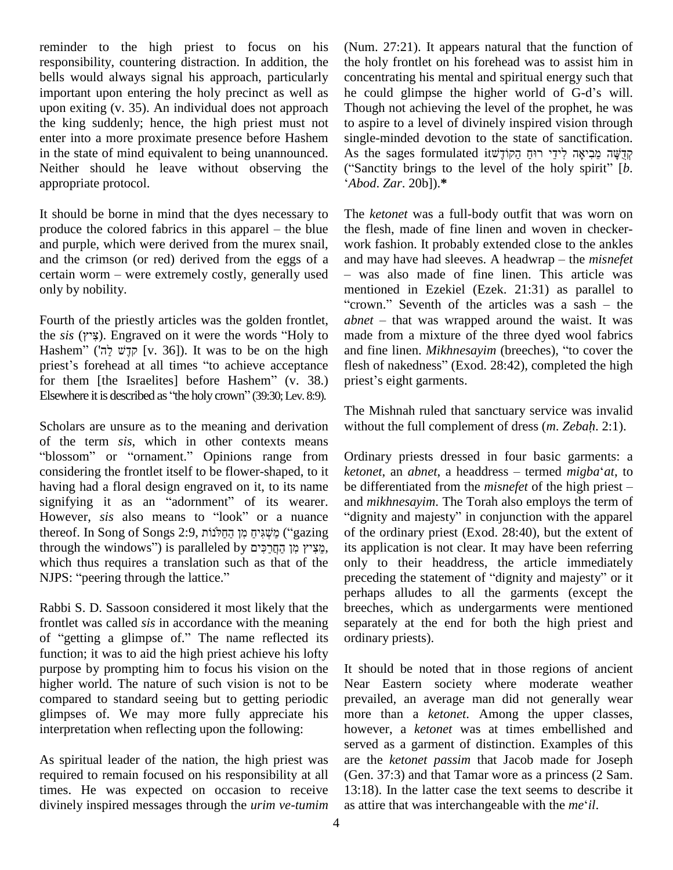reminder to the high priest to focus on his responsibility, countering distraction. In addition, the bells would always signal his approach, particularly important upon entering the holy precinct as well as he could glimpse the higher world of G-d's will. upon exiting (v. 35). An individual does not approach the king suddenly; hence, the high priest must not enter into a more proximate presence before Hashem in the state of mind equivalent to being unannounced. Neither should he leave without observing the appropriate protocol.

It should be borne in mind that the dyes necessary to The  $k$ It should be borne in mind that the dyes necessary to The *i*<br>produce the colored fabrics in this apparel – the blue the f. and purple, which were derived from the murex snail, and the crimson (or red) derived from the eggs of a certain worm – were extremely costly, generally used only by nobility.

Fourth of the priestly articles was the golden frontlet, *althe sis* (א*ִיץ)*. Engraved on it were the words "Holy to m<br>Hashem" (קדָשׁ לַה) [v. 36]). It was to be on the high and fourth of the priestly articles was the golden frontlet, abnet<br>the *sis* ( $\gamma$ \*\*). Engraved on it were the words "Holy to made aristly articles was the golden frontlet, abnet<br>ngraved on it were the words "Holy to made<br> $\overline{\psi}$  [v. 36]). It was to be on the high and fi the *sis* (דְיֹא). Engraved on it were the words "Holy to made<br>Hashem" (קָנָשׁ לֲה') [v. 36]). It was to be on the high and f<br>priest's forehead at all times "to achieve acceptance flesh Hashem<sup>"</sup> (הֵי לַה') [v. 36]). It was to be on the high and priest's forehead at all times "to achieve acceptance fles<br>for them [the Israelites] before Hashem" (v. 38.) prior priest's forehead at all times "to achieve acceptance for them [the Israelites] before Hashem" (v. 38.) presented as "the holy crown" (39:30; Lev. 8:9).

Scholars are unsure as to the meaning and derivation without the of the term *sis*, which in other contexts means "blossom" or "ornament." Opinions range from Ordinary p considering the frontlet itself to be flower-shaped, to it having had a floral design engraved on it, to its name be differentiated from the *misnefet* of the high priest – considering the frontlet itself to be flower-shaped, to it keep having had a floral design engraved on it, to its name beging it as an "adornment" of its wearer. having had a floral design engraved on it, to its name be di<br>signifying it as an "adornment" of its wearer. and *n*<br>However, *sis* also means to "look" or a nuance "digr t as an "adornment" of its wearer. and *m*<br>However, *sis* also means to "look" or a nuance "digni<br>thereof. In Song of Songs 2:9, מַשְׁגִּים מְן הַחֲלֹנוֹת ("gazing of the the apparel thereof. In Song of Songs 2:9, מִשְׁגִּיּחַ מִן הַחֲלֹנוֹת ("dignity and majesty" in conjunction with the apparel thereof. In Song of Songs 2:9, מִשְׁגִּיחַ מִן הַחֲלֹנוֹת ("gazing of the ordinary priest (Exod which thus requires a translation such as that of the only רְכִּים (is paralleled by רְכִּים (is paralleled by רְכִּים (is paralleled by chich thus requires a translation such as in NJPS: "peering through the lattice."

Rabbi S. D. Sassoon considered it most likely that the frontlet was called *sis* in accordance with the meaning of "getting a glimpse of." The name reflected its function; it was to aid the high priest achieve his lofty purpose by prompting him to focus his vision on the higher world. The nature of such vision is not to be compared to standard seeing but to getting periodic glimpses of. We may more fully appreciate his interpretation when reflecting upon the following:

As spiritual leader of the nation, the high priest was required to remain focused on his responsibility at all times. He was expected on occasion to receive divinely inspired messages through the *urim ve-tumim* as attire that was interchangeable with the *me* il.

(Num. 27:21). It appears natural that the function of the holy frontlet on his forehead was to assist him in he could glimpse the higher world of G-dí<sup>s</sup> will. concentrating his mental and spiritual energy such that Though not achieving the level of the prophet, he was to aspire to a level of divinely inspired vision through<br>single-minded devotion to the state of sanctification.<br>קְרֶשֶׁה מֵכִיאָה לְידֵי רוּחַ הַקוֹדָשׁוֹ single-minded devotion to the state of sanctification. ("Sanctity brings to the level of the holy spirit"  $[b]$ . *Abod*. *Zar*. 20b]).**\***

The *ketonet* was a full-body outfit that was worn on the flesh, made of fine linen and woven in checker work fashion. It probably extended close to the ankles and may have had sleeves. A headwrap – the *misnefet* - was also made of fine linen. This article was mentioned in Ezekiel (Ezek. 21:31) as parallel to was also made of fine linen. This article was<br>nentioned in Ezekiel (Ezek. 21:31) as parallel to<br>crown." Seventh of the articles was a sash – the mentioned in Ezekiel (Ezek. 21:31) as parallel to<br>"crown." Seventh of the articles was a sash – the<br>*abnet* – that was wrapped around the waist. It was made from a mixture of the three dyed wool fabrics<br>and fine linen. *Mikhnesayim* (breeches), "to cover the<br>flesh of nakedness" (Exod. 28:42), completed the high abnet – that was wrapped around the waist. It was<br>made from a mixture of the three dyed wool fabrics<br>and fine linen. *Mikhnesayim* (breeches), "to cover the and fine linen. *Mikhnesayim* (breeches), "to cover the flesh of nakedness" (Exod. 28:42), completed the high priest's eight garments.

The Mishnah ruled that sanctuary service was invalid The Mishnah ruled that sanctuary service was invalid<br>without the full complement of dress (*m. Zebah.* 2:1).

Ordinary priests dressed in four basic garments: a *C ketonet*, an *abnet*, a headdress – termed *migba*<sup> $\alpha$ </sup>*at*, to Ordinary priests dressed in four basic garments: a *ketonet*, an *abnet*, a headdress – termed *migba<sup>s</sup>* at, to be differentiated from the *misnefet* of the high priest – be differentiated from the *misnefet* of the high priest –<br>and *mikhnesayim*. The Torah also employs the term of<br>"dignity and majesty" in conjunction with the apparel of the ordinary priest (Exod. 28:40), but the extent of its application is not clear. It may have been referring<br>only to their headdress, the article immediately<br>preceding the statement of "dignity and majesty" or it only to their headdress, the article immediately perhaps alludes to all the garments (except the breeches, which as undergarments were mentioned separately at the end for both the high priest and ordinary priests).

It should be noted that in those regions of ancient Near Eastern society where moderate weather prevailed, an average man did not generally wear more than a *ketonet*. Among the upper classes, however, a *ketonet* was at times embellished and served as a garment of distinction. Examples of this are the *ketonet passim* that Jacob made for Joseph (Gen. 37:3) and that Tamar wore as a princess (2 Sam. 13:18). In the latter case the text seems to describe it as attire that was interchangeable with the *me*<sup>*i*</sup>*il*. 13:18). In the latter case the text seems to describe it